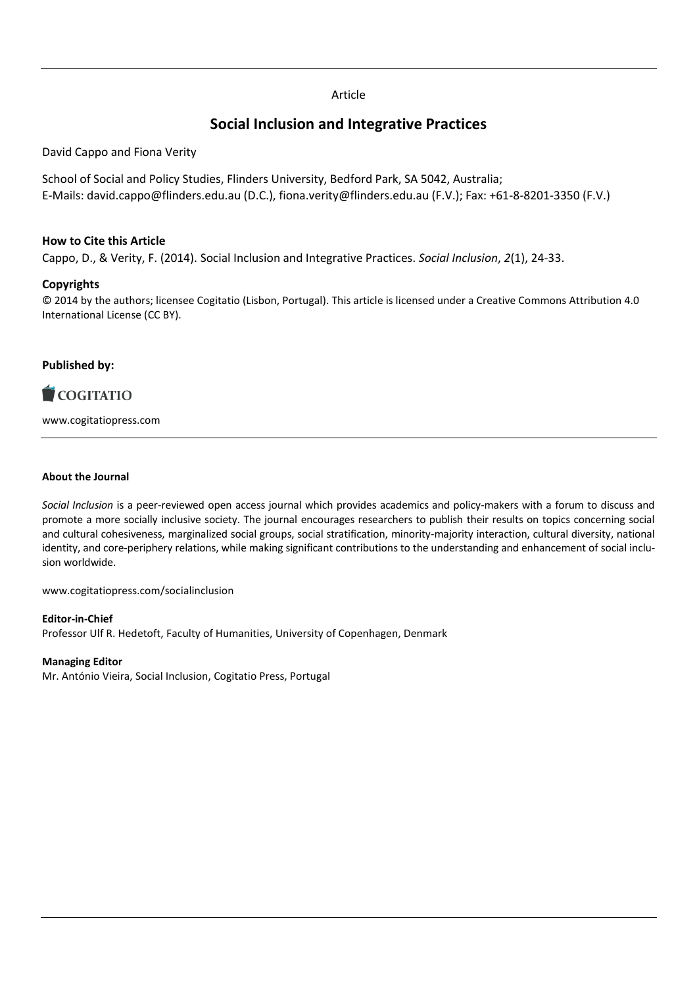# Article

# **Social Inclusion and Integrative Practices**

David Cappo and Fiona Verity

School of Social and Policy Studies, Flinders University, Bedford Park, SA 5042, Australia; E-Mails: david.cappo@flinders.edu.au (D.C.), fiona.verity@flinders.edu.au (F.V.); Fax: +61-8-8201-3350 (F.V.)

## **How to Cite this Article**

Cappo, D., & Verity, F. (2014). Social Inclusion and Integrative Practices. *Social Inclusion*, *2*(1), 24-33.

# **Copyrights**

© 2014 by the authors; licensee Cogitatio (Lisbon, Portugal). This article is licensed under a Creative Commons Attribution 4.0 International License (CC BY).

# **Published by:**



www.cogitatiopress.com

#### **About the Journal**

*Social Inclusion* is a peer-reviewed open access journal which provides academics and policy-makers with a forum to discuss and promote a more socially inclusive society. The journal encourages researchers to publish their results on topics concerning social and cultural cohesiveness, marginalized social groups, social stratification, minority-majority interaction, cultural diversity, national identity, and core-periphery relations, while making significant contributions to the understanding and enhancement of social inclusion worldwide.

www.cogitatiopress.com/socialinclusion

#### **Editor-in-Chief**

Professor Ulf R. Hedetoft, Faculty of Humanities, University of Copenhagen, Denmark

#### **Managing Editor**

Mr. António Vieira, Social Inclusion, Cogitatio Press, Portugal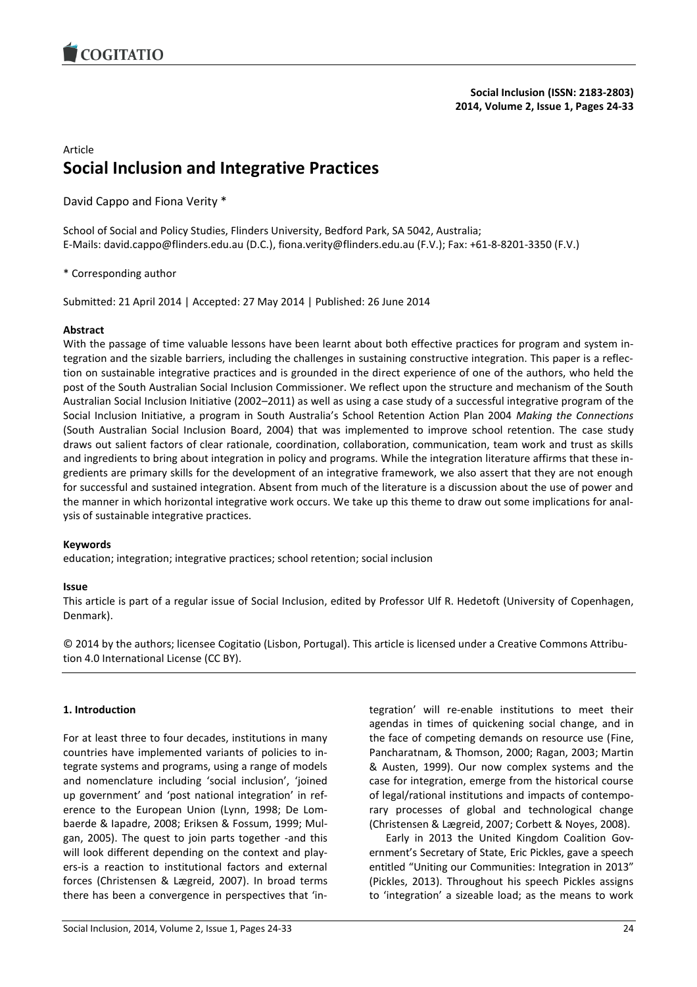

# Article **Social Inclusion and Integrative Practices**

David Cappo and Fiona Verity \*

School of Social and Policy Studies, Flinders University, Bedford Park, SA 5042, Australia; E-Mails: david.cappo@flinders.edu.au (D.C.), fiona.verity@flinders.edu.au (F.V.); Fax: +61-8-8201-3350 (F.V.)

\* Corresponding author

Submitted: 21 April 2014 | Accepted: 27 May 2014 | Published: 26 June 2014

#### **Abstract**

With the passage of time valuable lessons have been learnt about both effective practices for program and system integration and the sizable barriers, including the challenges in sustaining constructive integration. This paper is a reflection on sustainable integrative practices and is grounded in the direct experience of one of the authors, who held the post of the South Australian Social Inclusion Commissioner. We reflect upon the structure and mechanism of the South Australian Social Inclusion Initiative (2002–2011) as well as using a case study of a successful integrative program of the Social Inclusion Initiative, a program in South Australia's School Retention Action Plan 2004 *Making the Connections*  (South Australian Social Inclusion Board, 2004) that was implemented to improve school retention. The case study draws out salient factors of clear rationale, coordination, collaboration, communication, team work and trust as skills and ingredients to bring about integration in policy and programs. While the integration literature affirms that these ingredients are primary skills for the development of an integrative framework, we also assert that they are not enough for successful and sustained integration. Absent from much of the literature is a discussion about the use of power and the manner in which horizontal integrative work occurs. We take up this theme to draw out some implications for analysis of sustainable integrative practices.

#### **Keywords**

education; integration; integrative practices; school retention; social inclusion

#### **Issue**

This article is part of a regular issue of Social Inclusion, edited by Professor Ulf R. Hedetoft (University of Copenhagen, Denmark).

© 2014 by the authors; licensee Cogitatio (Lisbon, Portugal). This article is licensed under a Creative Commons Attribution 4.0 International License (CC BY).

#### **1. Introduction**

For at least three to four decades, institutions in many countries have implemented variants of policies to integrate systems and programs, using a range of models and nomenclature including 'social inclusion', 'joined up government' and 'post national integration' in reference to the European Union (Lynn, 1998; De Lombaerde & Iapadre, 2008; Eriksen & Fossum, 1999; Mulgan, 2005). The quest to join parts together -and this will look different depending on the context and players-is a reaction to institutional factors and external forces (Christensen & Lægreid, 2007). In broad terms there has been a convergence in perspectives that 'integration' will re-enable institutions to meet their agendas in times of quickening social change, and in the face of competing demands on resource use (Fine, Pancharatnam, & Thomson, 2000; Ragan, 2003; Martin & Austen, 1999). Our now complex systems and the case for integration, emerge from the historical course of legal/rational institutions and impacts of contemporary processes of global and technological change (Christensen & Lægreid, 2007; Corbett & Noyes, 2008).

Early in 2013 the United Kingdom Coalition Government's Secretary of State, Eric Pickles, gave a speech entitled "Uniting our Communities: Integration in 2013" (Pickles, 2013). Throughout his speech Pickles assigns to 'integration' a sizeable load; as the means to work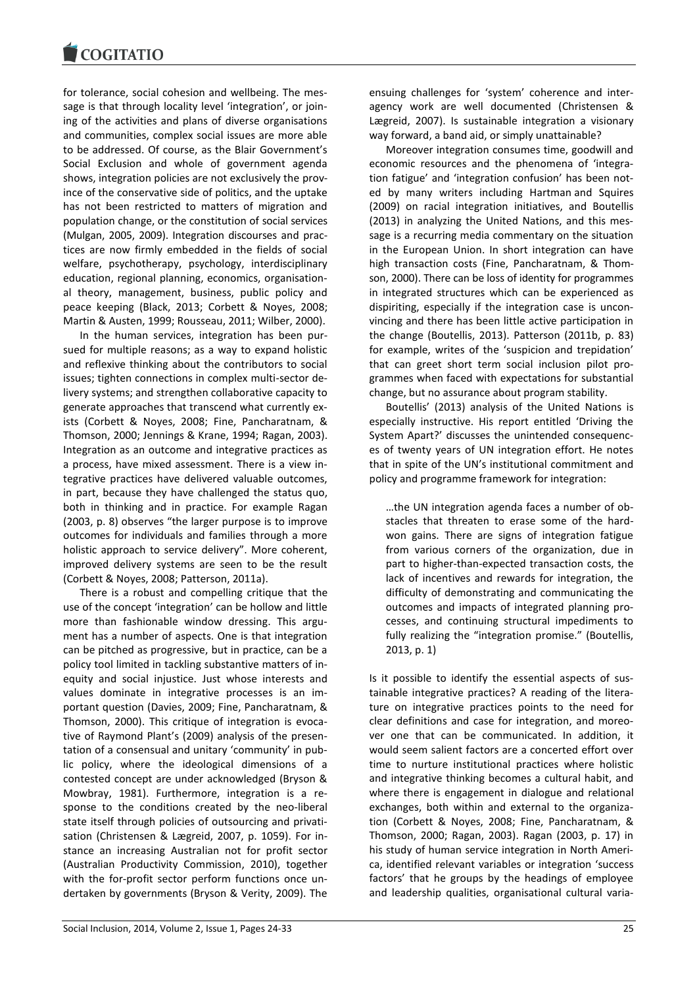for tolerance, social cohesion and wellbeing. The message is that through locality level 'integration', or joining of the activities and plans of diverse organisations and communities, complex social issues are more able to be addressed. Of course, as the Blair Government's Social Exclusion and whole of government agenda shows, integration policies are not exclusively the province of the conservative side of politics, and the uptake has not been restricted to matters of migration and population change, or the constitution of social services (Mulgan, 2005, 2009). Integration discourses and practices are now firmly embedded in the fields of social welfare, psychotherapy, psychology, interdisciplinary education, regional planning, economics, organisational theory, management, business, public policy and peace keeping (Black, 2013; Corbett & Noyes, 2008; Martin & Austen, 1999; Rousseau, 2011; Wilber, 2000).

In the human services, integration has been pursued for multiple reasons; as a way to expand holistic and reflexive thinking about the contributors to social issues; tighten connections in complex multi-sector delivery systems; and strengthen collaborative capacity to generate approaches that transcend what currently exists (Corbett & Noyes, 2008; Fine, Pancharatnam, & Thomson, 2000; Jennings & Krane, 1994; Ragan, 2003). Integration as an outcome and integrative practices as a process, have mixed assessment. There is a view integrative practices have delivered valuable outcomes, in part, because they have challenged the status quo, both in thinking and in practice. For example Ragan (2003, p. 8) observes "the larger purpose is to improve outcomes for individuals and families through a more holistic approach to service delivery". More coherent, improved delivery systems are seen to be the result (Corbett & Noyes, 2008; Patterson, 2011a).

There is a robust and compelling critique that the use of the concept 'integration' can be hollow and little more than fashionable window dressing. This argument has a number of aspects. One is that integration can be pitched as progressive, but in practice, can be a policy tool limited in tackling substantive matters of inequity and social injustice. Just whose interests and values dominate in integrative processes is an important question (Davies, 2009; Fine, Pancharatnam, & Thomson, 2000). This critique of integration is evocative of Raymond Plant's (2009) analysis of the presentation of a consensual and unitary 'community' in public policy, where the ideological dimensions of a contested concept are under acknowledged (Bryson & Mowbray, 1981). Furthermore, integration is a response to the conditions created by the neo-liberal state itself through policies of outsourcing and privatisation (Christensen & Lægreid, 2007, p. 1059). For instance an increasing Australian not for profit sector (Australian Productivity Commission, 2010), together with the for-profit sector perform functions once undertaken by governments (Bryson & Verity, 2009). The

ensuing challenges for 'system' coherence and interagency work are well documented (Christensen & Lægreid, 2007). Is sustainable integration a visionary way forward, a band aid, or simply unattainable?

Moreover integration consumes time, goodwill and economic resources and the phenomena of 'integration fatigue' and 'integration confusion' has been noted by many writers including Hartman and Squires (2009) on racial integration initiatives, and Boutellis (2013) in analyzing the United Nations, and this message is a recurring media commentary on the situation in the European Union. In short integration can have high transaction costs (Fine, Pancharatnam, & Thomson, 2000). There can be loss of identity for programmes in integrated structures which can be experienced as dispiriting, especially if the integration case is unconvincing and there has been little active participation in the change (Boutellis, 2013). Patterson (2011b, p. 83) for example, writes of the 'suspicion and trepidation' that can greet short term social inclusion pilot programmes when faced with expectations for substantial change, but no assurance about program stability.

Boutellis' (2013) analysis of the United Nations is especially instructive. His report entitled 'Driving the System Apart?' discusses the unintended consequences of twenty years of UN integration effort. He notes that in spite of the UN's institutional commitment and policy and programme framework for integration:

…the UN integration agenda faces a number of obstacles that threaten to erase some of the hardwon gains. There are signs of integration fatigue from various corners of the organization, due in part to higher-than-expected transaction costs, the lack of incentives and rewards for integration, the difficulty of demonstrating and communicating the outcomes and impacts of integrated planning processes, and continuing structural impediments to fully realizing the "integration promise." (Boutellis, 2013, p. 1)

Is it possible to identify the essential aspects of sustainable integrative practices? A reading of the literature on integrative practices points to the need for clear definitions and case for integration, and moreover one that can be communicated. In addition, it would seem salient factors are a concerted effort over time to nurture institutional practices where holistic and integrative thinking becomes a cultural habit, and where there is engagement in dialogue and relational exchanges, both within and external to the organization (Corbett & Noyes, 2008; Fine, Pancharatnam, & Thomson, 2000; Ragan, 2003). Ragan (2003, p. 17) in his study of human service integration in North America, identified relevant variables or integration 'success factors' that he groups by the headings of employee and leadership qualities, organisational cultural varia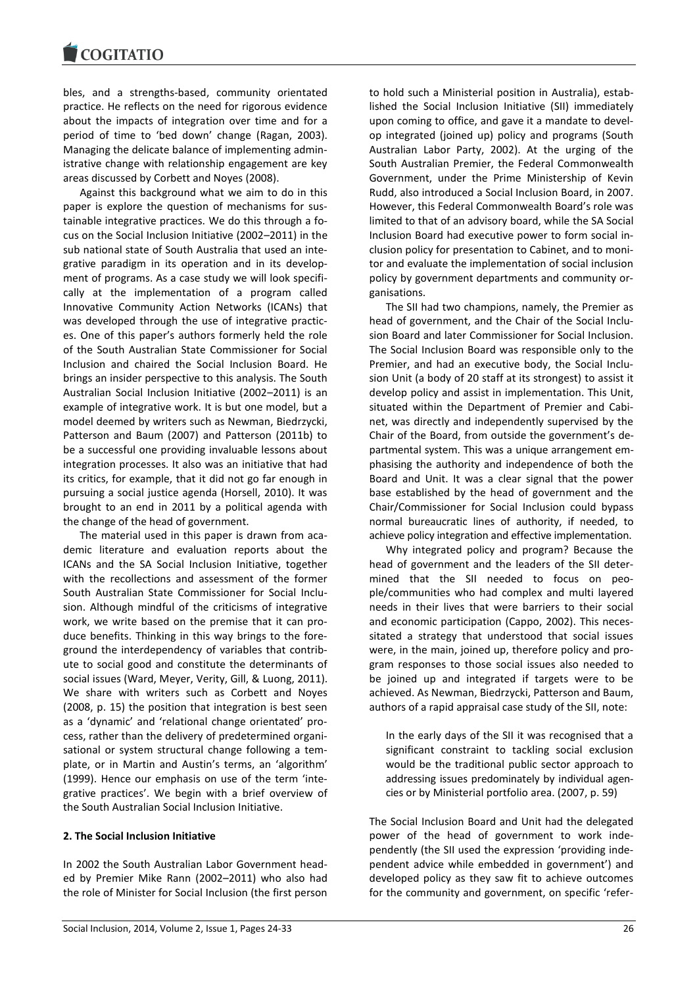bles, and a strengths-based, community orientated practice. He reflects on the need for rigorous evidence about the impacts of integration over time and for a period of time to 'bed down' change (Ragan, 2003). Managing the delicate balance of implementing administrative change with relationship engagement are key areas discussed by Corbett and Noyes (2008).

Against this background what we aim to do in this paper is explore the question of mechanisms for sustainable integrative practices. We do this through a focus on the Social Inclusion Initiative (2002–2011) in the sub national state of South Australia that used an integrative paradigm in its operation and in its development of programs. As a case study we will look specifically at the implementation of a program called Innovative Community Action Networks (ICANs) that was developed through the use of integrative practices. One of this paper's authors formerly held the role of the South Australian State Commissioner for Social Inclusion and chaired the Social Inclusion Board. He brings an insider perspective to this analysis. The South Australian Social Inclusion Initiative (2002–2011) is an example of integrative work. It is but one model, but a model deemed by writers such as Newman, Biedrzycki, Patterson and Baum (2007) and Patterson (2011b) to be a successful one providing invaluable lessons about integration processes. It also was an initiative that had its critics, for example, that it did not go far enough in pursuing a social justice agenda (Horsell, 2010). It was brought to an end in 2011 by a political agenda with the change of the head of government.

The material used in this paper is drawn from academic literature and evaluation reports about the ICANs and the SA Social Inclusion Initiative, together with the recollections and assessment of the former South Australian State Commissioner for Social Inclusion. Although mindful of the criticisms of integrative work, we write based on the premise that it can produce benefits. Thinking in this way brings to the foreground the interdependency of variables that contribute to social good and constitute the determinants of social issues (Ward, Meyer, Verity, Gill, & Luong, 2011). We share with writers such as Corbett and Noyes (2008, p. 15) the position that integration is best seen as a 'dynamic' and 'relational change orientated' process, rather than the delivery of predetermined organisational or system structural change following a template, or in Martin and Austin's terms, an 'algorithm' (1999). Hence our emphasis on use of the term 'integrative practices'. We begin with a brief overview of the South Australian Social Inclusion Initiative.

#### **2. The Social Inclusion Initiative**

In 2002 the South Australian Labor Government headed by Premier Mike Rann (2002–2011) who also had the role of Minister for Social Inclusion (the first person

to hold such a Ministerial position in Australia), established the Social Inclusion Initiative (SII) immediately upon coming to office, and gave it a mandate to develop integrated (joined up) policy and programs (South Australian Labor Party, 2002). At the urging of the South Australian Premier, the Federal Commonwealth Government, under the Prime Ministership of Kevin Rudd, also introduced a Social Inclusion Board, in 2007. However, this Federal Commonwealth Board's role was limited to that of an advisory board, while the SA Social Inclusion Board had executive power to form social inclusion policy for presentation to Cabinet, and to monitor and evaluate the implementation of social inclusion policy by government departments and community organisations.

The SII had two champions, namely, the Premier as head of government, and the Chair of the Social Inclusion Board and later Commissioner for Social Inclusion. The Social Inclusion Board was responsible only to the Premier, and had an executive body, the Social Inclusion Unit (a body of 20 staff at its strongest) to assist it develop policy and assist in implementation. This Unit, situated within the Department of Premier and Cabinet, was directly and independently supervised by the Chair of the Board, from outside the government's departmental system. This was a unique arrangement emphasising the authority and independence of both the Board and Unit. It was a clear signal that the power base established by the head of government and the Chair/Commissioner for Social Inclusion could bypass normal bureaucratic lines of authority, if needed, to achieve policy integration and effective implementation.

Why integrated policy and program? Because the head of government and the leaders of the SII determined that the SII needed to focus on people/communities who had complex and multi layered needs in their lives that were barriers to their social and economic participation (Cappo, 2002). This necessitated a strategy that understood that social issues were, in the main, joined up, therefore policy and program responses to those social issues also needed to be joined up and integrated if targets were to be achieved. As Newman, Biedrzycki, Patterson and Baum, authors of a rapid appraisal case study of the SII, note:

In the early days of the SII it was recognised that a significant constraint to tackling social exclusion would be the traditional public sector approach to addressing issues predominately by individual agencies or by Ministerial portfolio area. (2007, p. 59)

The Social Inclusion Board and Unit had the delegated power of the head of government to work independently (the SII used the expression 'providing independent advice while embedded in government') and developed policy as they saw fit to achieve outcomes for the community and government, on specific 'refer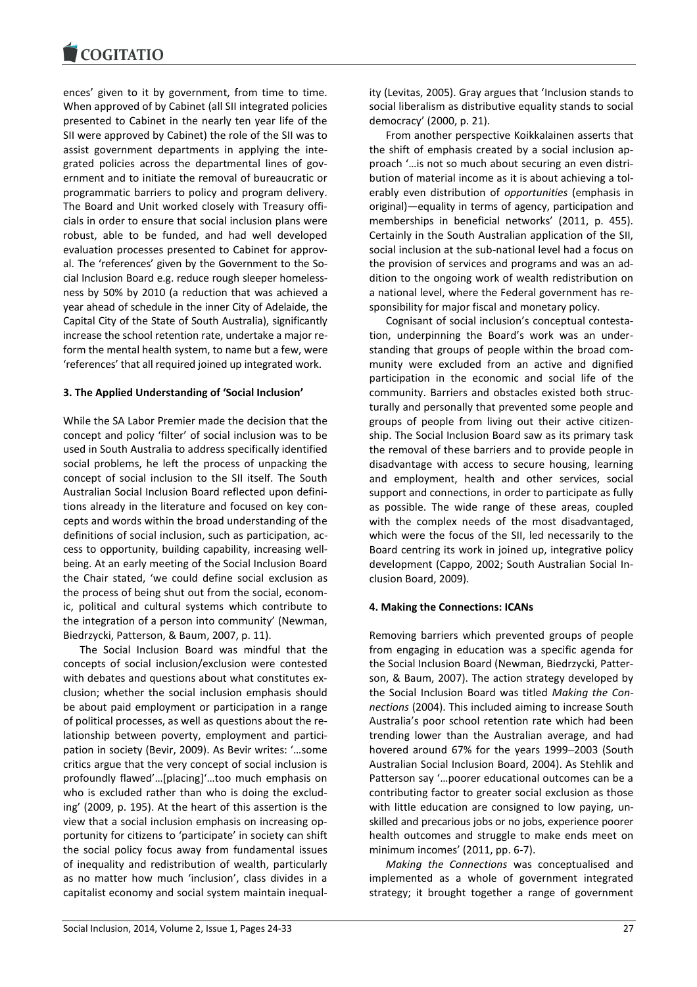ences' given to it by government, from time to time. When approved of by Cabinet (all SII integrated policies presented to Cabinet in the nearly ten year life of the SII were approved by Cabinet) the role of the SII was to assist government departments in applying the integrated policies across the departmental lines of government and to initiate the removal of bureaucratic or programmatic barriers to policy and program delivery. The Board and Unit worked closely with Treasury officials in order to ensure that social inclusion plans were robust, able to be funded, and had well developed evaluation processes presented to Cabinet for approval. The 'references' given by the Government to the Social Inclusion Board e.g. reduce rough sleeper homelessness by 50% by 2010 (a reduction that was achieved a year ahead of schedule in the inner City of Adelaide, the Capital City of the State of South Australia), significantly increase the school retention rate, undertake a major reform the mental health system, to name but a few, were 'references' that all required joined up integrated work.

### **3. The Applied Understanding of 'Social Inclusion'**

While the SA Labor Premier made the decision that the concept and policy 'filter' of social inclusion was to be used in South Australia to address specifically identified social problems, he left the process of unpacking the concept of social inclusion to the SII itself. The South Australian Social Inclusion Board reflected upon definitions already in the literature and focused on key concepts and words within the broad understanding of the definitions of social inclusion, such as participation, access to opportunity, building capability, increasing wellbeing. At an early meeting of the Social Inclusion Board the Chair stated, 'we could define social exclusion as the process of being shut out from the social, economic, political and cultural systems which contribute to the integration of a person into community' (Newman, Biedrzycki, Patterson, & Baum, 2007, p. 11).

The Social Inclusion Board was mindful that the concepts of social inclusion/exclusion were contested with debates and questions about what constitutes exclusion; whether the social inclusion emphasis should be about paid employment or participation in a range of political processes, as well as questions about the relationship between poverty, employment and participation in society (Bevir, 2009). As Bevir writes: '…some critics argue that the very concept of social inclusion is profoundly flawed'…[placing]'…too much emphasis on who is excluded rather than who is doing the excluding' (2009, p. 195). At the heart of this assertion is the view that a social inclusion emphasis on increasing opportunity for citizens to 'participate' in society can shift the social policy focus away from fundamental issues of inequality and redistribution of wealth, particularly as no matter how much 'inclusion', class divides in a capitalist economy and social system maintain inequality (Levitas, 2005). Gray argues that 'Inclusion stands to social liberalism as distributive equality stands to social democracy' (2000, p. 21).

From another perspective Koikkalainen asserts that the shift of emphasis created by a social inclusion approach '…is not so much about securing an even distribution of material income as it is about achieving a tolerably even distribution of *opportunities* (emphasis in original)—equality in terms of agency, participation and memberships in beneficial networks' (2011, p. 455). Certainly in the South Australian application of the SII, social inclusion at the sub-national level had a focus on the provision of services and programs and was an addition to the ongoing work of wealth redistribution on a national level, where the Federal government has responsibility for major fiscal and monetary policy.

Cognisant of social inclusion's conceptual contestation, underpinning the Board's work was an understanding that groups of people within the broad community were excluded from an active and dignified participation in the economic and social life of the community. Barriers and obstacles existed both structurally and personally that prevented some people and groups of people from living out their active citizenship. The Social Inclusion Board saw as its primary task the removal of these barriers and to provide people in disadvantage with access to secure housing, learning and employment, health and other services, social support and connections, in order to participate as fully as possible. The wide range of these areas, coupled with the complex needs of the most disadvantaged, which were the focus of the SII, led necessarily to the Board centring its work in joined up, integrative policy development (Cappo, 2002; South Australian Social Inclusion Board, 2009).

#### **4. Making the Connections: ICANs**

Removing barriers which prevented groups of people from engaging in education was a specific agenda for the Social Inclusion Board (Newman, Biedrzycki, Patterson, & Baum, 2007). The action strategy developed by the Social Inclusion Board was titled *Making the Connections* (2004). This included aiming to increase South Australia's poor school retention rate which had been trending lower than the Australian average, and had hovered around 67% for the years 1999–2003 (South Australian Social Inclusion Board, 2004). As Stehlik and Patterson say '…poorer educational outcomes can be a contributing factor to greater social exclusion as those with little education are consigned to low paying, unskilled and precarious jobs or no jobs, experience poorer health outcomes and struggle to make ends meet on minimum incomes' (2011, pp. 6-7).

*Making the Connections* was conceptualised and implemented as a whole of government integrated strategy; it brought together a range of government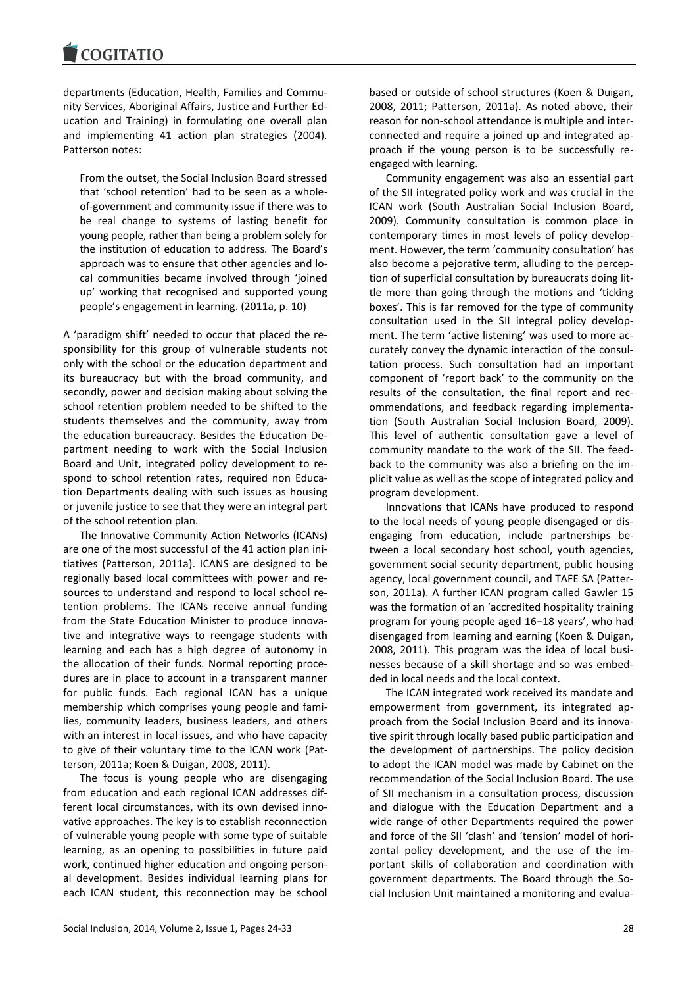departments (Education, Health, Families and Community Services, Aboriginal Affairs, Justice and Further Education and Training) in formulating one overall plan and implementing 41 action plan strategies (2004). Patterson notes:

From the outset, the Social Inclusion Board stressed that 'school retention' had to be seen as a wholeof-government and community issue if there was to be real change to systems of lasting benefit for young people, rather than being a problem solely for the institution of education to address. The Board's approach was to ensure that other agencies and local communities became involved through 'joined up' working that recognised and supported young people's engagement in learning. (2011a, p. 10)

A 'paradigm shift' needed to occur that placed the responsibility for this group of vulnerable students not only with the school or the education department and its bureaucracy but with the broad community, and secondly, power and decision making about solving the school retention problem needed to be shifted to the students themselves and the community, away from the education bureaucracy. Besides the Education Department needing to work with the Social Inclusion Board and Unit, integrated policy development to respond to school retention rates, required non Education Departments dealing with such issues as housing or juvenile justice to see that they were an integral part of the school retention plan.

The Innovative Community Action Networks (ICANs) are one of the most successful of the 41 action plan initiatives (Patterson, 2011a). ICANS are designed to be regionally based local committees with power and resources to understand and respond to local school retention problems. The ICANs receive annual funding from the State Education Minister to produce innovative and integrative ways to reengage students with learning and each has a high degree of autonomy in the allocation of their funds. Normal reporting procedures are in place to account in a transparent manner for public funds. Each regional ICAN has a unique membership which comprises young people and families, community leaders, business leaders, and others with an interest in local issues, and who have capacity to give of their voluntary time to the ICAN work (Patterson, 2011a; Koen & Duigan, 2008, 2011).

The focus is young people who are disengaging from education and each regional ICAN addresses different local circumstances, with its own devised innovative approaches. The key is to establish reconnection of vulnerable young people with some type of suitable learning, as an opening to possibilities in future paid work, continued higher education and ongoing personal development. Besides individual learning plans for each ICAN student, this reconnection may be school

based or outside of school structures (Koen & Duigan, 2008, 2011; Patterson, 2011a). As noted above, their reason for non-school attendance is multiple and interconnected and require a joined up and integrated approach if the young person is to be successfully reengaged with learning.

Community engagement was also an essential part of the SII integrated policy work and was crucial in the ICAN work (South Australian Social Inclusion Board, 2009). Community consultation is common place in contemporary times in most levels of policy development. However, the term 'community consultation' has also become a pejorative term, alluding to the perception of superficial consultation by bureaucrats doing little more than going through the motions and 'ticking boxes'. This is far removed for the type of community consultation used in the SII integral policy development. The term 'active listening' was used to more accurately convey the dynamic interaction of the consultation process. Such consultation had an important component of 'report back' to the community on the results of the consultation, the final report and recommendations, and feedback regarding implementation (South Australian Social Inclusion Board, 2009). This level of authentic consultation gave a level of community mandate to the work of the SII. The feedback to the community was also a briefing on the implicit value as well as the scope of integrated policy and program development.

Innovations that ICANs have produced to respond to the local needs of young people disengaged or disengaging from education, include partnerships between a local secondary host school, youth agencies, government social security department, public housing agency, local government council, and TAFE SA (Patterson, 2011a). A further ICAN program called Gawler 15 was the formation of an 'accredited hospitality training program for young people aged 16–18 years', who had disengaged from learning and earning (Koen & Duigan, 2008, 2011). This program was the idea of local businesses because of a skill shortage and so was embedded in local needs and the local context.

The ICAN integrated work received its mandate and empowerment from government, its integrated approach from the Social Inclusion Board and its innovative spirit through locally based public participation and the development of partnerships. The policy decision to adopt the ICAN model was made by Cabinet on the recommendation of the Social Inclusion Board. The use of SII mechanism in a consultation process, discussion and dialogue with the Education Department and a wide range of other Departments required the power and force of the SII 'clash' and 'tension' model of horizontal policy development, and the use of the important skills of collaboration and coordination with government departments. The Board through the Social Inclusion Unit maintained a monitoring and evalua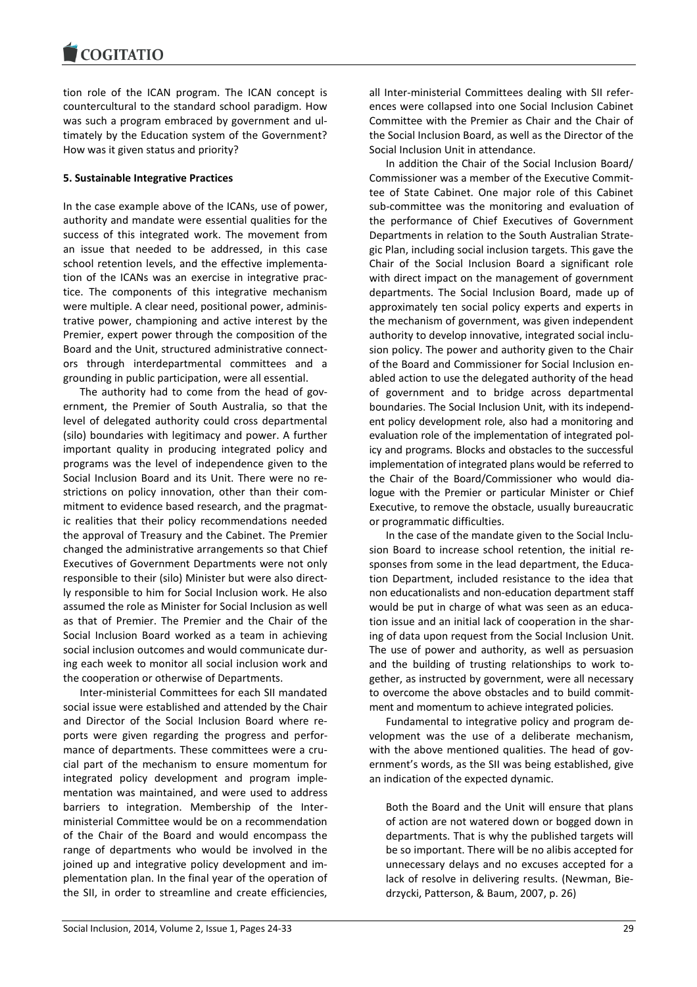tion role of the ICAN program. The ICAN concept is countercultural to the standard school paradigm. How was such a program embraced by government and ultimately by the Education system of the Government? How was it given status and priority?

### **5. Sustainable Integrative Practices**

In the case example above of the ICANs, use of power, authority and mandate were essential qualities for the success of this integrated work. The movement from an issue that needed to be addressed, in this case school retention levels, and the effective implementation of the ICANs was an exercise in integrative practice. The components of this integrative mechanism were multiple. A clear need, positional power, administrative power, championing and active interest by the Premier, expert power through the composition of the Board and the Unit, structured administrative connectors through interdepartmental committees and a grounding in public participation, were all essential.

The authority had to come from the head of government, the Premier of South Australia, so that the level of delegated authority could cross departmental (silo) boundaries with legitimacy and power. A further important quality in producing integrated policy and programs was the level of independence given to the Social Inclusion Board and its Unit. There were no restrictions on policy innovation, other than their commitment to evidence based research, and the pragmatic realities that their policy recommendations needed the approval of Treasury and the Cabinet. The Premier changed the administrative arrangements so that Chief Executives of Government Departments were not only responsible to their (silo) Minister but were also directly responsible to him for Social Inclusion work. He also assumed the role as Minister for Social Inclusion as well as that of Premier. The Premier and the Chair of the Social Inclusion Board worked as a team in achieving social inclusion outcomes and would communicate during each week to monitor all social inclusion work and the cooperation or otherwise of Departments.

Inter-ministerial Committees for each SII mandated social issue were established and attended by the Chair and Director of the Social Inclusion Board where reports were given regarding the progress and performance of departments. These committees were a crucial part of the mechanism to ensure momentum for integrated policy development and program implementation was maintained, and were used to address barriers to integration. Membership of the Interministerial Committee would be on a recommendation of the Chair of the Board and would encompass the range of departments who would be involved in the joined up and integrative policy development and implementation plan. In the final year of the operation of the SII, in order to streamline and create efficiencies,

all Inter-ministerial Committees dealing with SII references were collapsed into one Social Inclusion Cabinet Committee with the Premier as Chair and the Chair of the Social Inclusion Board, as well as the Director of the Social Inclusion Unit in attendance.

In addition the Chair of the Social Inclusion Board/ Commissioner was a member of the Executive Committee of State Cabinet. One major role of this Cabinet sub-committee was the monitoring and evaluation of the performance of Chief Executives of Government Departments in relation to the South Australian Strategic Plan, including social inclusion targets. This gave the Chair of the Social Inclusion Board a significant role with direct impact on the management of government departments. The Social Inclusion Board, made up of approximately ten social policy experts and experts in the mechanism of government, was given independent authority to develop innovative, integrated social inclusion policy. The power and authority given to the Chair of the Board and Commissioner for Social Inclusion enabled action to use the delegated authority of the head of government and to bridge across departmental boundaries. The Social Inclusion Unit, with its independent policy development role, also had a monitoring and evaluation role of the implementation of integrated policy and programs. Blocks and obstacles to the successful implementation of integrated plans would be referred to the Chair of the Board/Commissioner who would dialogue with the Premier or particular Minister or Chief Executive, to remove the obstacle, usually bureaucratic or programmatic difficulties.

In the case of the mandate given to the Social Inclusion Board to increase school retention, the initial responses from some in the lead department, the Education Department, included resistance to the idea that non educationalists and non-education department staff would be put in charge of what was seen as an education issue and an initial lack of cooperation in the sharing of data upon request from the Social Inclusion Unit. The use of power and authority, as well as persuasion and the building of trusting relationships to work together, as instructed by government, were all necessary to overcome the above obstacles and to build commitment and momentum to achieve integrated policies.

Fundamental to integrative policy and program development was the use of a deliberate mechanism, with the above mentioned qualities. The head of government's words, as the SII was being established, give an indication of the expected dynamic.

Both the Board and the Unit will ensure that plans of action are not watered down or bogged down in departments. That is why the published targets will be so important. There will be no alibis accepted for unnecessary delays and no excuses accepted for a lack of resolve in delivering results. (Newman, Biedrzycki, Patterson, & Baum, 2007, p. 26)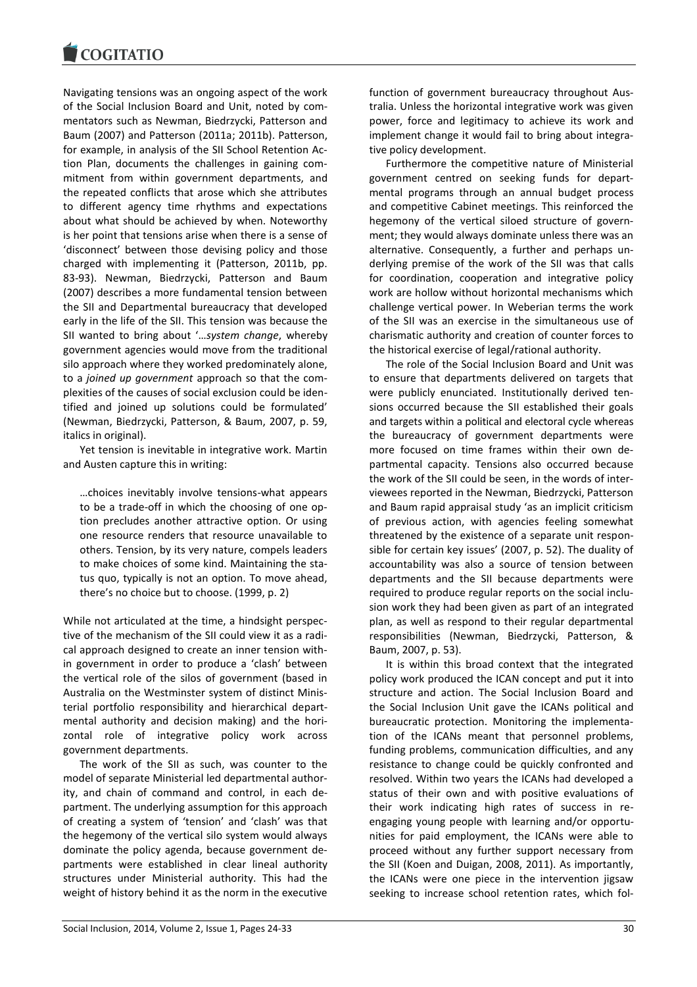Navigating tensions was an ongoing aspect of the work of the Social Inclusion Board and Unit, noted by commentators such as Newman, Biedrzycki, Patterson and Baum (2007) and Patterson (2011a; 2011b). Patterson, for example, in analysis of the SII School Retention Action Plan, documents the challenges in gaining commitment from within government departments, and the repeated conflicts that arose which she attributes to different agency time rhythms and expectations about what should be achieved by when. Noteworthy is her point that tensions arise when there is a sense of 'disconnect' between those devising policy and those charged with implementing it (Patterson, 2011b, pp. 83-93). Newman, Biedrzycki, Patterson and Baum (2007) describes a more fundamental tension between the SII and Departmental bureaucracy that developed early in the life of the SII. This tension was because the SII wanted to bring about '…*system change*, whereby government agencies would move from the traditional silo approach where they worked predominately alone, to a *joined up government* approach so that the complexities of the causes of social exclusion could be identified and joined up solutions could be formulated' (Newman, Biedrzycki, Patterson, & Baum, 2007, p. 59, italics in original).

Yet tension is inevitable in integrative work. Martin and Austen capture this in writing:

…choices inevitably involve tensions-what appears to be a trade-off in which the choosing of one option precludes another attractive option. Or using one resource renders that resource unavailable to others. Tension, by its very nature, compels leaders to make choices of some kind. Maintaining the status quo, typically is not an option. To move ahead, there's no choice but to choose. (1999, p. 2)

While not articulated at the time, a hindsight perspective of the mechanism of the SII could view it as a radical approach designed to create an inner tension within government in order to produce a 'clash' between the vertical role of the silos of government (based in Australia on the Westminster system of distinct Ministerial portfolio responsibility and hierarchical departmental authority and decision making) and the horizontal role of integrative policy work across government departments.

The work of the SII as such, was counter to the model of separate Ministerial led departmental authority, and chain of command and control, in each department. The underlying assumption for this approach of creating a system of 'tension' and 'clash' was that the hegemony of the vertical silo system would always dominate the policy agenda, because government departments were established in clear lineal authority structures under Ministerial authority. This had the weight of history behind it as the norm in the executive

function of government bureaucracy throughout Australia. Unless the horizontal integrative work was given power, force and legitimacy to achieve its work and implement change it would fail to bring about integrative policy development.

Furthermore the competitive nature of Ministerial government centred on seeking funds for departmental programs through an annual budget process and competitive Cabinet meetings. This reinforced the hegemony of the vertical siloed structure of government; they would always dominate unless there was an alternative. Consequently, a further and perhaps underlying premise of the work of the SII was that calls for coordination, cooperation and integrative policy work are hollow without horizontal mechanisms which challenge vertical power. In Weberian terms the work of the SII was an exercise in the simultaneous use of charismatic authority and creation of counter forces to the historical exercise of legal/rational authority.

The role of the Social Inclusion Board and Unit was to ensure that departments delivered on targets that were publicly enunciated. Institutionally derived tensions occurred because the SII established their goals and targets within a political and electoral cycle whereas the bureaucracy of government departments were more focused on time frames within their own departmental capacity. Tensions also occurred because the work of the SII could be seen, in the words of interviewees reported in the Newman, Biedrzycki, Patterson and Baum rapid appraisal study 'as an implicit criticism of previous action, with agencies feeling somewhat threatened by the existence of a separate unit responsible for certain key issues' (2007, p. 52). The duality of accountability was also a source of tension between departments and the SII because departments were required to produce regular reports on the social inclusion work they had been given as part of an integrated plan, as well as respond to their regular departmental responsibilities (Newman, Biedrzycki, Patterson, & Baum, 2007, p. 53).

It is within this broad context that the integrated policy work produced the ICAN concept and put it into structure and action. The Social Inclusion Board and the Social Inclusion Unit gave the ICANs political and bureaucratic protection. Monitoring the implementation of the ICANs meant that personnel problems, funding problems, communication difficulties, and any resistance to change could be quickly confronted and resolved. Within two years the ICANs had developed a status of their own and with positive evaluations of their work indicating high rates of success in reengaging young people with learning and/or opportunities for paid employment, the ICANs were able to proceed without any further support necessary from the SII (Koen and Duigan, 2008, 2011). As importantly, the ICANs were one piece in the intervention jigsaw seeking to increase school retention rates, which fol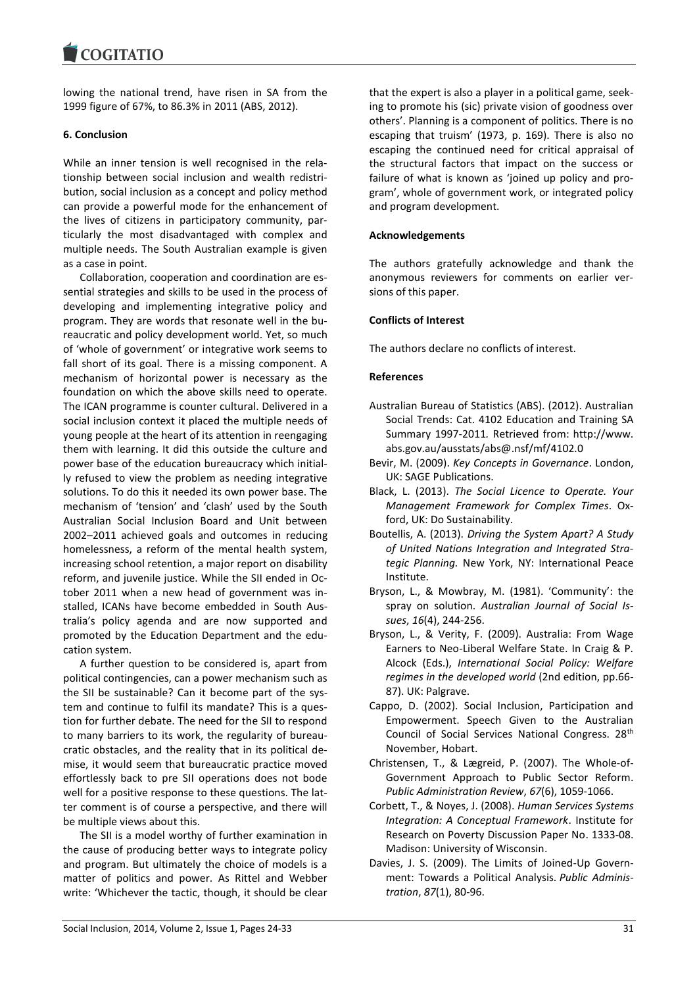lowing the national trend, have risen in SA from the 1999 figure of 67%, to 86.3% in 2011 (ABS, 2012).

#### **6. Conclusion**

While an inner tension is well recognised in the relationship between social inclusion and wealth redistribution, social inclusion as a concept and policy method can provide a powerful mode for the enhancement of the lives of citizens in participatory community, particularly the most disadvantaged with complex and multiple needs. The South Australian example is given as a case in point.

Collaboration, cooperation and coordination are essential strategies and skills to be used in the process of developing and implementing integrative policy and program. They are words that resonate well in the bureaucratic and policy development world. Yet, so much of 'whole of government' or integrative work seems to fall short of its goal. There is a missing component. A mechanism of horizontal power is necessary as the foundation on which the above skills need to operate. The ICAN programme is counter cultural. Delivered in a social inclusion context it placed the multiple needs of young people at the heart of its attention in reengaging them with learning. It did this outside the culture and power base of the education bureaucracy which initially refused to view the problem as needing integrative solutions. To do this it needed its own power base. The mechanism of 'tension' and 'clash' used by the South Australian Social Inclusion Board and Unit between 2002–2011 achieved goals and outcomes in reducing homelessness, a reform of the mental health system, increasing school retention, a major report on disability reform, and juvenile justice. While the SII ended in October 2011 when a new head of government was installed, ICANs have become embedded in South Australia's policy agenda and are now supported and promoted by the Education Department and the education system.

A further question to be considered is, apart from political contingencies, can a power mechanism such as the SII be sustainable? Can it become part of the system and continue to fulfil its mandate? This is a question for further debate. The need for the SII to respond to many barriers to its work, the regularity of bureaucratic obstacles, and the reality that in its political demise, it would seem that bureaucratic practice moved effortlessly back to pre SII operations does not bode well for a positive response to these questions. The latter comment is of course a perspective, and there will be multiple views about this.

The SII is a model worthy of further examination in the cause of producing better ways to integrate policy and program. But ultimately the choice of models is a matter of politics and power. As Rittel and Webber write: 'Whichever the tactic, though, it should be clear

that the expert is also a player in a political game, seeking to promote his (sic) private vision of goodness over others'. Planning is a component of politics. There is no escaping that truism' (1973, p. 169). There is also no escaping the continued need for critical appraisal of the structural factors that impact on the success or failure of what is known as 'joined up policy and program', whole of government work, or integrated policy and program development.

#### **Acknowledgements**

The authors gratefully acknowledge and thank the anonymous reviewers for comments on earlier versions of this paper.

#### **Conflicts of Interest**

The authors declare no conflicts of interest.

#### **References**

- Australian Bureau of Statistics (ABS). (2012). Australian Social Trends: Cat. 4102 Education and Training SA Summary 1997-2011*.* Retrieved from: http://www. abs.gov.au/ausstats/abs@.nsf/mf/4102.0
- Bevir, M. (2009). *Key Concepts in Governance*. London, UK: SAGE Publications.
- Black, L. (2013). *The Social Licence to Operate. Your Management Framework for Complex Times*. Oxford, UK: Do Sustainability.
- Boutellis, A. (2013). *Driving the System Apart? A Study of United Nations Integration and Integrated Strategic Planning.* New York, NY: International Peace Institute.
- Bryson, L., & Mowbray, M. (1981). 'Community': the spray on solution. *Australian Journal of Social Issues*, *16*(4), 244-256.
- Bryson, L., & Verity, F. (2009). Australia: From Wage Earners to Neo-Liberal Welfare State. In Craig & P. Alcock (Eds.), *International Social Policy: Welfare regimes in the developed world* (2nd edition, pp.66- 87). UK: Palgrave.
- Cappo, D. (2002). Social Inclusion, Participation and Empowerment. Speech Given to the Australian Council of Social Services National Congress. 28<sup>th</sup> November, Hobart.
- Christensen, T., & Lægreid, P. (2007). The Whole-of-Government Approach to Public Sector Reform. *Public Administration Review*, *67*(6), 1059-1066.
- Corbett, T., & Noyes, J. (2008). *Human Services Systems Integration: A Conceptual Framework*. Institute for Research on Poverty Discussion Paper No. 1333-08. Madison: University of Wisconsin.
- Davies, J. S. (2009). The Limits of Joined-Up Government: Towards a Political Analysis. *Public Administration*, *87*(1), 80-96.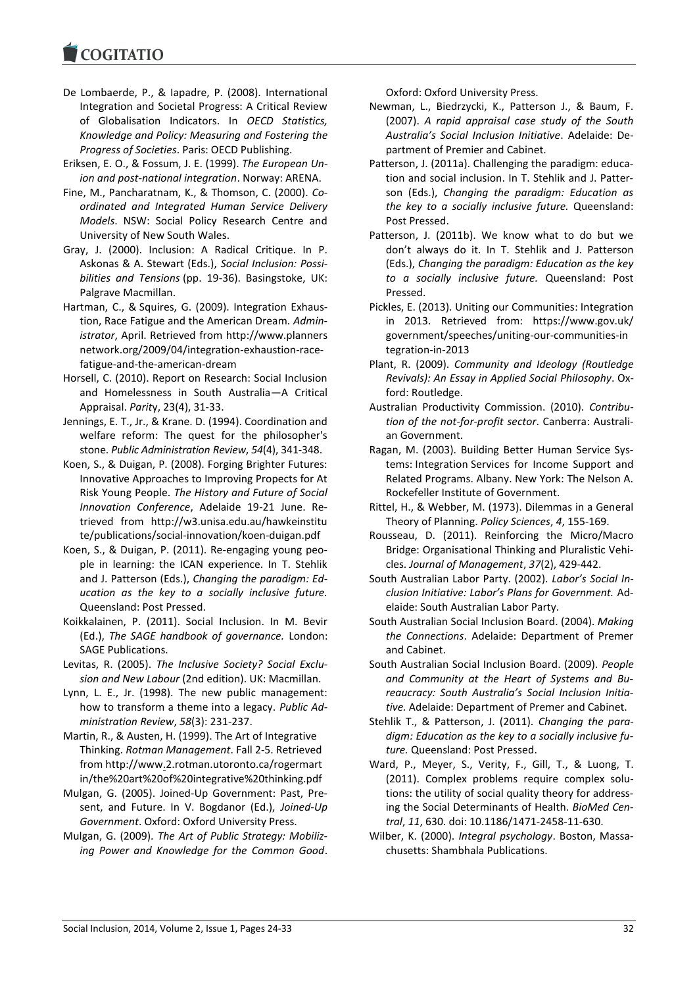- De Lombaerde, P., & Iapadre, P. (2008). International Integration and Societal Progress: A Critical Review of Globalisation Indicators. In *OECD Statistics, Knowledge and Policy: Measuring and Fostering the Progress of Societies*. Paris: OECD Publishing.
- Eriksen, E. O., & Fossum, J. E. (1999). *The European Union and post-national integration*. Norway: ARENA.
- Fine, M., Pancharatnam, K., & Thomson, C. (2000). *Coordinated and Integrated Human Service Delivery Models*. NSW: Social Policy Research Centre and University of New South Wales.
- Gray, J. (2000). Inclusion: A Radical Critique. In P. Askonas & A. Stewart (Eds.), *Social Inclusion: Possibilities and Tensions* (pp. 19-36). Basingstoke, UK: Palgrave Macmillan.
- Hartman, C., & Squires, G. (2009). Integration Exhaustion, Race Fatigue and the American Dream. *Administrator*, April. Retrieved from http://www.planners network.org/2009/04/integration-exhaustion-racefatigue-and-the-american-dream
- Horsell, C. (2010). Report on Research: Social Inclusion and Homelessness in South Australia—A Critical Appraisal. *Parit*y, 23(4), 31-33.
- Jennings, E. T., Jr., & Krane. D. (1994). Coordination and welfare reform: The quest for the philosopher's stone. *Public Administration Review*, *54*(4), 341-348.
- Koen, S., & Duigan, P. (2008). Forging Brighter Futures: Innovative Approaches to Improving Propects for At Risk Young People. *The History and Future of Social Innovation Conference*, Adelaide 19-21 June. Retrieved from http://w3.unisa.edu.au/hawkeinstitu te/publications/social-innovation/koen-duigan.pdf
- Koen, S., & Duigan, P. (2011). Re-engaging young people in learning: the ICAN experience. In T. Stehlik and J. Patterson (Eds.), *Changing the paradigm: Education as the key to a socially inclusive future.*  Queensland: Post Pressed.
- Koikkalainen, P. (2011). Social Inclusion. In M. Bevir (Ed.), *The SAGE handbook of governance.* London: SAGE Publications.
- Levitas, R. (2005). *The Inclusive Society? Social Exclusion and New Labour* (2nd edition). UK: Macmillan.
- Lynn, L. E., Jr. (1998). The new public management: how to transform a theme into a legacy. *Public Administration Review*, *58*(3): 231-237.
- Martin, R., & Austen, H. (1999). The Art of Integrative Thinking. *Rotman Management*. Fall 2-5. Retrieved from http://www.2.rotman.utoronto.ca/rogermart in/the%20art%20of%20integrative%20thinking.pdf
- Mulgan, G. (2005). Joined-Up Government: Past, Present, and Future. In V. Bogdanor (Ed.), *Joined-Up Government*. Oxford: Oxford University Press.
- Mulgan, G. (2009). *The Art of Public Strategy: Mobilizing Power and Knowledge for the Common Good*.

Oxford: Oxford University Press.

- Newman, L., Biedrzycki, K., Patterson J., & Baum, F. (2007). *A rapid appraisal case study of the South Australia's Social Inclusion Initiative*. Adelaide: Department of Premier and Cabinet.
- Patterson, J. (2011a). Challenging the paradigm: education and social inclusion. In T. Stehlik and J. Patterson (Eds.), *Changing the paradigm: Education as the key to a socially inclusive future.* Queensland: Post Pressed.
- Patterson, J. (2011b). We know what to do but we don't always do it. In T. Stehlik and J. Patterson (Eds.), *Changing the paradigm: Education as the key to a socially inclusive future.* Queensland: Post Pressed.
- Pickles, E. (2013). Uniting our Communities: Integration in 2013. Retrieved from: https://www.gov.uk/ government/speeches/uniting-our-communities-in tegration-in-2013
- Plant, R. (2009). *Community and Ideology (Routledge Revivals): An Essay in Applied Social Philosophy*. Oxford: Routledge.
- Australian Productivity Commission. (2010). *Contribution of the not-for-profit sector*. Canberra: Australian Government.
- Ragan, M. (2003). Building Better Human Service Systems: Integration Services for Income Support and Related Programs. Albany. New York: The Nelson A. Rockefeller Institute of Government.
- Rittel, H., & Webber, M. (1973). Dilemmas in a General Theory of Planning. *Policy Sciences*, *4*, 155-169.
- Rousseau, D. (2011). Reinforcing the Micro/Macro Bridge: Organisational Thinking and Pluralistic Vehicles. *Journal of Management*, *37*(2), 429-442.
- South Australian Labor Party. (2002). *Labor's Social Inclusion Initiative: Labor's Plans for Government.* Adelaide: South Australian Labor Party.
- South Australian Social Inclusion Board. (2004). *Making the Connections*. Adelaide: Department of Premer and Cabinet.
- South Australian Social Inclusion Board. (2009). *People and Community at the Heart of Systems and Bureaucracy: South Australia's Social Inclusion Initiative.* Adelaide: Department of Premer and Cabinet.
- Stehlik T., & Patterson, J. (2011). *Changing the paradigm: Education as the key to a socially inclusive future.* Queensland: Post Pressed.
- Ward, P., Meyer, S., Verity, F., Gill, T., & Luong, T. (2011). Complex problems require complex solutions: the utility of social quality theory for addressing the Social Determinants of Health. *BioMed Central*, *11*, 630. doi: 10.1186/1471-2458-11-630.
- Wilber, K. (2000). *Integral psychology*. Boston, Massachusetts: Shambhala Publications.